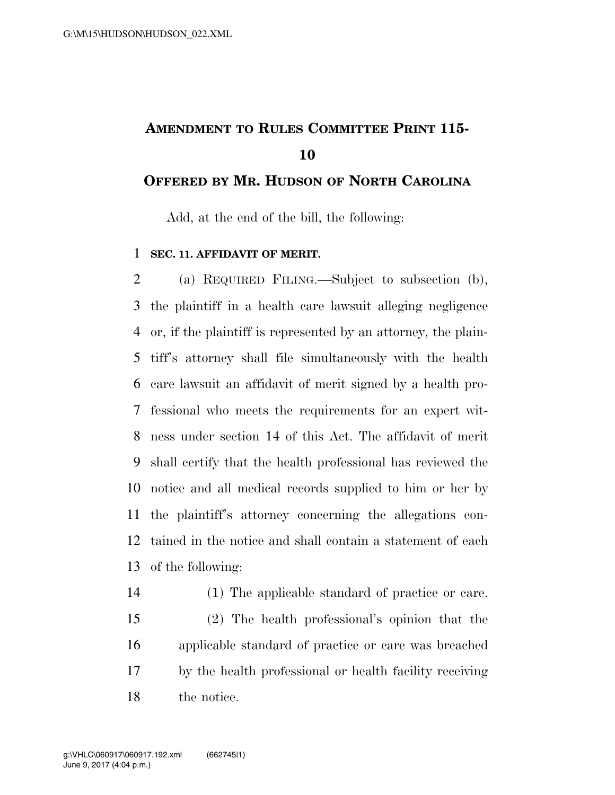## **AMENDMENT TO RULES COMMITTEE PRINT 115-**

## **OFFERED BY MR. HUDSON OF NORTH CAROLINA**

Add, at the end of the bill, the following:

## **SEC. 11. AFFIDAVIT OF MERIT.**

 (a) REQUIRED FILING.—Subject to subsection (b), the plaintiff in a health care lawsuit alleging negligence or, if the plaintiff is represented by an attorney, the plain- tiff's attorney shall file simultaneously with the health care lawsuit an affidavit of merit signed by a health pro- fessional who meets the requirements for an expert wit- ness under section 14 of this Act. The affidavit of merit shall certify that the health professional has reviewed the notice and all medical records supplied to him or her by the plaintiff's attorney concerning the allegations con- tained in the notice and shall contain a statement of each of the following:

 (1) The applicable standard of practice or care. (2) The health professional's opinion that the applicable standard of practice or care was breached by the health professional or health facility receiving the notice.